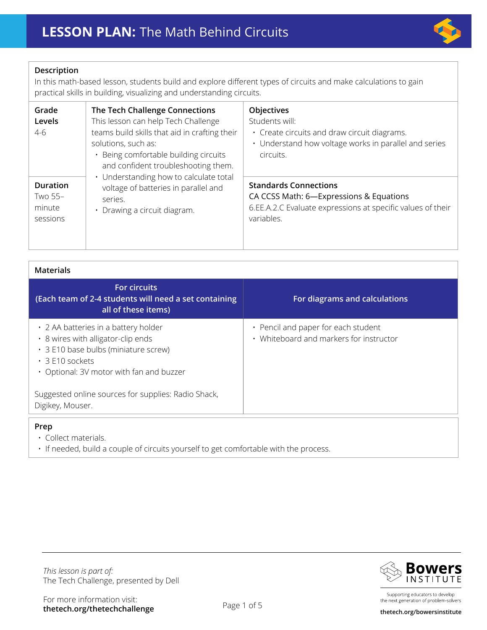

## **Description**

In this math-based lesson, students build and explore different types of circuits and make calculations to gain practical skills in building, visualizing and understanding circuits.

| Grade<br>Levels<br>4-6                           | The Tech Challenge Connections<br>This lesson can help Tech Challenge<br>teams build skills that aid in crafting their<br>solutions, such as:<br>· Being comfortable building circuits<br>and confident troubleshooting them.<br>• Understanding how to calculate total<br>voltage of batteries in parallel and<br>series.<br>· Drawing a circuit diagram. | Objectives<br>Students will:<br>• Create circuits and draw circuit diagrams.<br>• Understand how voltage works in parallel and series<br>circuits.   |
|--------------------------------------------------|------------------------------------------------------------------------------------------------------------------------------------------------------------------------------------------------------------------------------------------------------------------------------------------------------------------------------------------------------------|------------------------------------------------------------------------------------------------------------------------------------------------------|
| <b>Duration</b><br>Two 55-<br>minute<br>sessions |                                                                                                                                                                                                                                                                                                                                                            | <b>Standards Connections</b><br>CA CCSS Math: 6-Expressions & Equations<br>6.EE.A.2.C Evaluate expressions at specific values of their<br>variables. |

| <b>Materials</b>                                                                                                                                                                              |                                                                                |  |  |  |
|-----------------------------------------------------------------------------------------------------------------------------------------------------------------------------------------------|--------------------------------------------------------------------------------|--|--|--|
| <b>For circuits</b><br>(Each team of 2-4 students will need a set containing<br>all of these items)                                                                                           | For diagrams and calculations                                                  |  |  |  |
| $\cdot$ 2 AA batteries in a battery holder<br>• 8 wires with alligator-clip ends<br>• 3 E10 base bulbs (miniature screw)<br>$\cdot$ 3 F10 sockets<br>• Optional: 3V motor with fan and buzzer | • Pencil and paper for each student<br>• Whiteboard and markers for instructor |  |  |  |
| Suggested online sources for supplies: Radio Shack,<br>Digikey, Mouser.                                                                                                                       |                                                                                |  |  |  |

## **Prep**

• Collect materials.

• If needed, build a couple of circuits yourself to get comfortable with the process.

The Tech Challenge, presented by Dell *This lesson is part of:* 



Supporting educators to develop the next generation of problem-solvers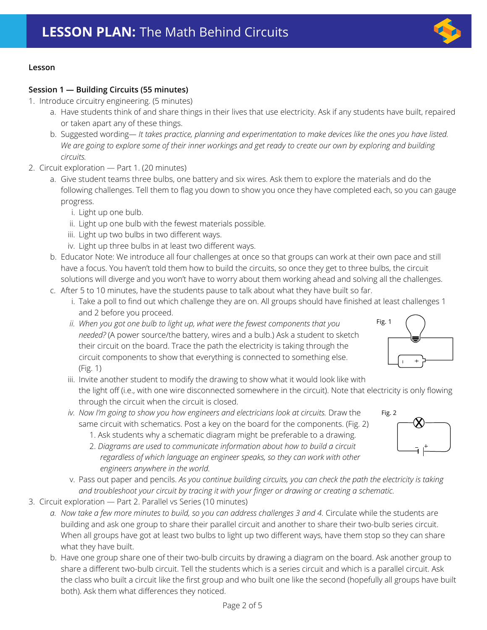

# **Lesson**

# **Session 1 — Building Circuits (55 minutes)**

- 1. Introduce circuitry engineering. (5 minutes)
	- a. Have students think of and share things in their lives that use electricity. Ask if any students have built, repaired or taken apart any of these things.
	- b. Suggested wording *It takes practice, planning and experimentation to make devices like the ones you have listed. We are going to explore some of their inner workings and get ready to create our own by exploring and building circuits.*
- 2. Circuit exploration Part 1. (20 minutes)
	- a. Give student teams three bulbs, one battery and six wires. Ask them to explore the materials and do the following challenges. Tell them to flag you down to show you once they have completed each, so you can gauge progress.
		- i. Light up one bulb.
		- ii. Light up one bulb with the fewest materials possible.
		- iii. Light up two bulbs in two different ways.
		- iv. Light up three bulbs in at least two different ways.
	- b. Educator Note: We introduce all four challenges at once so that groups can work at their own pace and still have a focus. You haven't told them how to build the circuits, so once they get to three bulbs, the circuit solutions will diverge and you won't have to worry about them working ahead and solving all the challenges.
	- c. After 5 to 10 minutes, have the students pause to talk about what they have built so far.
		- i. Take a poll to find out which challenge they are on. All groups should have finished at least challenges 1 and 2 before you proceed.
		- *ii. When you got one bulb to light up, what were the fewest components that you needed?* (A power source/the battery, wires and a bulb.) Ask a student to sketch their circuit on the board. Trace the path the electricity is taking through the circuit components to show that everything is connected to something else. (Fig. 1)



- *iv. Now I'm going to show you how engineers and electricians look at circuits.* Draw the same circuit with schematics. Post a key on the board for the components. (Fig. 2)
	- 1. Ask students why a schematic diagram might be preferable to a drawing.
	- 2. *Diagrams are used to communicate information about how to build a circuit regardless of which language an engineer speaks, so they can work with other engineers anywhere in the world.*
- v. Pass out paper and pencils. *As you continue building circuits, you can check the path the electricity is taking and troubleshoot your circuit by tracing it with your finger or drawing or creating a schematic.*
- 3. Circuit exploration Part 2. Parallel vs Series (10 minutes)
	- *a. Now take a few more minutes to build, so you can address challenges 3 and 4.* Circulate while the students are building and ask one group to share their parallel circuit and another to share their two-bulb series circuit. When all groups have got at least two bulbs to light up two different ways, have them stop so they can share what they have built.
	- b. Have one group share one of their two-bulb circuits by drawing a diagram on the board. Ask another group to share a different two-bulb circuit. Tell the students which is a series circuit and which is a parallel circuit. Ask the class who built a circuit like the first group and who built one like the second (hopefully all groups have built both). Ask them what differences they noticed.



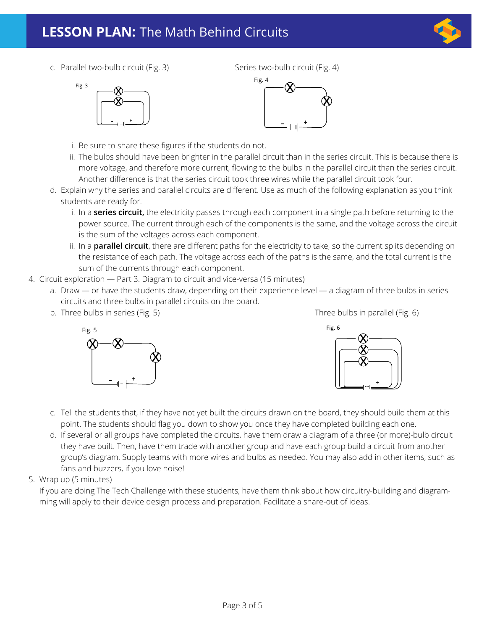# **LESSON PLAN:** The Math Behind Circuits

c. Parallel two-bulb circuit (Fig. 3) Series two-bulb circuit (Fig. 4)





- i. Be sure to share these figures if the students do not.
- ii. The bulbs should have been brighter in the parallel circuit than in the series circuit. This is because there is more voltage, and therefore more current, flowing to the bulbs in the parallel circuit than the series circuit. Another difference is that the series circuit took three wires while the parallel circuit took four.
- d. Explain why the series and parallel circuits are different. Use as much of the following explanation as you think students are ready for.
	- i. In a **series circuit,** the electricity passes through each component in a single path before returning to the power source. The current through each of the components is the same, and the voltage across the circuit is the sum of the voltages across each component.
	- ii. In a **parallel circuit**, there are different paths for the electricity to take, so the current splits depending on the resistance of each path. The voltage across each of the paths is the same, and the total current is the sum of the currents through each component.
- 4. Circuit exploration Part 3. Diagram to circuit and vice-versa (15 minutes)
	- a. Draw or have the students draw, depending on their experience level a diagram of three bulbs in series circuits and three bulbs in parallel circuits on the board.
	- b. Three bulbs in series (Fig. 5) Three bulbs in parallel (Fig. 6)







- c. Tell the students that, if they have not yet built the circuits drawn on the board, they should build them at this point. The students should flag you down to show you once they have completed building each one.
- d. If several or all groups have completed the circuits, have them draw a diagram of a three (or more)-bulb circuit they have built. Then, have them trade with another group and have each group build a circuit from another group's diagram. Supply teams with more wires and bulbs as needed. You may also add in other items, such as fans and buzzers, if you love noise!
- 5. Wrap up (5 minutes)

If you are doing The Tech Challenge with these students, have them think about how circuitry-building and diagramming will apply to their device design process and preparation. Facilitate a share-out of ideas.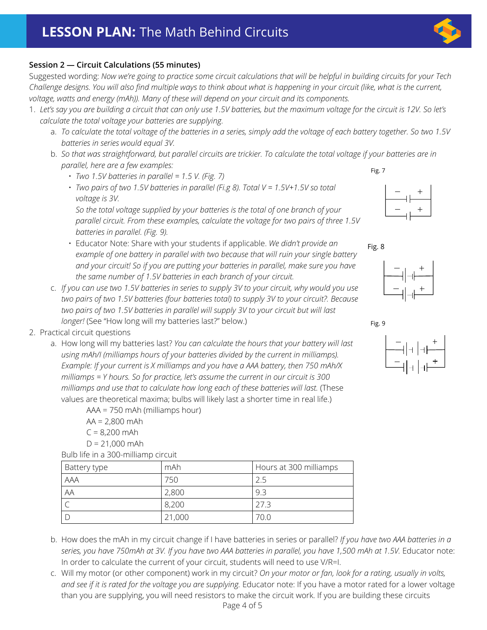# **Session 2 — Circuit Calculations (55 minutes)**

Suggested wording: *Now we're going to practice some circuit calculations that will be helpful in building circuits for your Tech Challenge designs. You will also find multiple ways to think about what is happening in your circuit (like, what is the current, voltage, watts and energy (mAh)). Many of these will depend on your circuit and its components.*

- 1. *Let's say you are building a circuit that can only use 1.5V batteries, but the maximum voltage for the circuit is 12V. So let's calculate the total voltage your batteries are supplying.*
	- a. *To calculate the total voltage of the batteries in a series, simply add the voltage of each battery together. So two 1.5V batteries in series would equal 3V.*
	- b. *So that was straightforward, but parallel circuits are trickier. To calculate the total voltage if your batteries are in parallel, here are a few examples:*  Fig. 7
		- *Two 1.5V batteries in parallel = 1.5 V. (Fig. 7)*
		- *Two pairs of two 1.5V batteries in parallel (Fi.g 8). Total V = 1.5V+1.5V so total voltage is 3V.*

*So the total voltage supplied by your batteries is the total of one branch of your parallel circuit. From these examples, calculate the voltage for two pairs of three 1.5V batteries in parallel. (Fig. 9).* 

- Educator Note: Share with your students if applicable. *We didn't provide an example of one battery in parallel with two because that will ruin your single battery and your circuit! So if you are putting your batteries in parallel, make sure you have the same number of 1.5V batteries in each branch of your circuit.*
- c. *If you can use two 1.5V batteries in series to supply 3V to your circuit, why would you use two pairs of two 1.5V batteries (four batteries total) to supply 3V to your circuit?. Because two pairs of two 1.5V batteries in parallel will supply 3V to your circuit but will last longer!* (See "How long will my batteries last?" below.)
- 2. Practical circuit questions
	- a. How long will my batteries last? *You can calculate the hours that your battery will last using mAh/I (milliamps hours of your batteries divided by the current in milliamps). Example: If your current is X milliamps and you have a AAA battery, then 750 mAh/X milliamps = Y hours. So for practice, let's assume the current in our circuit is 300 milliamps and use that to calculate how long each of these batteries will last.* (These values are theoretical maxima; bulbs will likely last a shorter time in real life.)

AAA = 750 mAh (milliamps hour)

```
AA = 2,800 mAh
R 200 m\Delta h
```

$$
C = 8,200
$$
 man

$$
D = 21,000 \text{ mah}
$$
   
 Bulh life in a 300-millianic

| paid inclined 500 minimality circuit |       |  |  |  |
|--------------------------------------|-------|--|--|--|
| Battery type                         | ' mAh |  |  |  |
|                                      |       |  |  |  |

| Battery type | mAh    | Hours at 300 milliamps |  |
|--------------|--------|------------------------|--|
| <b>AAA</b>   | 750    | 2.5                    |  |
| AA           | 2,800  | 9.3                    |  |
|              | 8,200  | 27.3                   |  |
|              | 21,000 | 70.0                   |  |

- b. How does the mAh in my circuit change if I have batteries in series or parallel? *If you have two AAA batteries in a*  series, you have 750mAh at 3V. If you have two AAA batteries in parallel, you have 1,500 mAh at 1.5V. Educator note: In order to calculate the current of your circuit, students will need to use V/R=I.
- c. Will my motor (or other component) work in my circuit? *On your motor or fan, look for a rating, usually in volts, and see if it is rated for the voltage you are supplying.* Educator note: If you have a motor rated for a lower voltage than you are supplying, you will need resistors to make the circuit work. If you are building these circuits Page 4 of 5

Fig. 8



Fig. 9